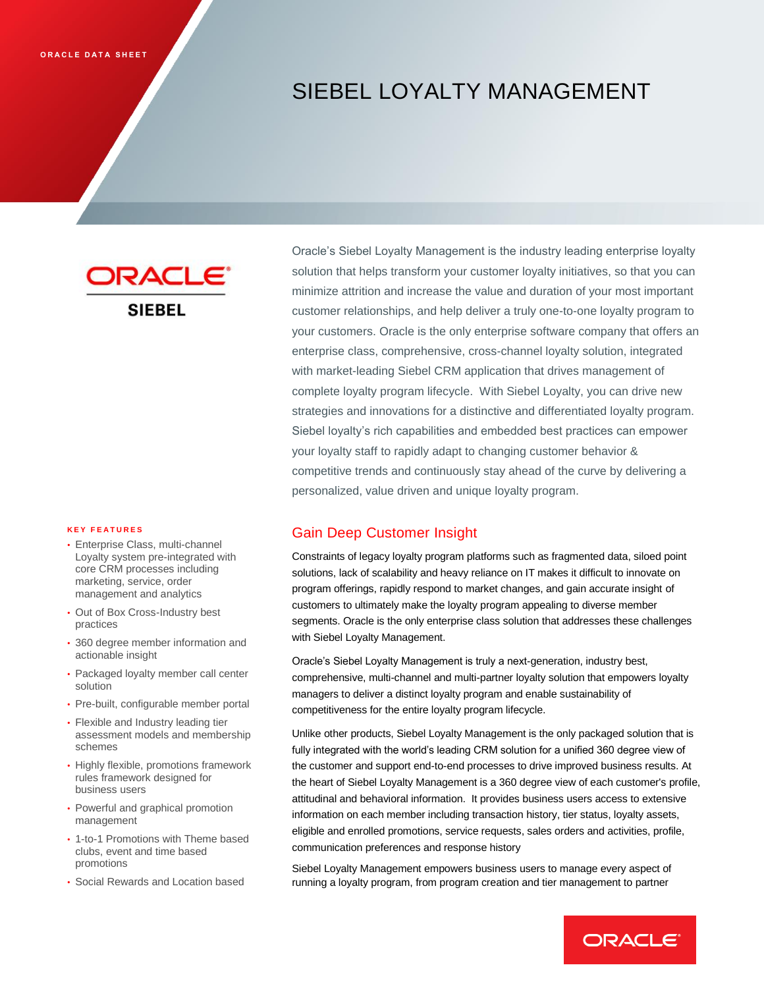# SIEBEL LOYALTY MANAGEMENT

#### **K E Y F E A T U R E S**

- • Enterprise Class, multi-channel Loyalty system pre-integrated with core CRM processes including marketing, service, order management and analytics
- • Out of Box Cross-Industry best practices
- • 360 degree member information and actionable insight
- • Packaged loyalty member call center solution
- Pre-built, configurable member portal
- • Flexible and Industry leading tier assessment models and membership schemes
- • Highly flexible, promotions framework rules framework designed for business users
- • Powerful and graphical promotion management
- • 1-to-1 Promotions with Theme based clubs, event and time based promotions
- Social Rewards and Location based

**SIEREL**<br> **ORACLE**<br> **ORACLE**<br> **ORACLE**<br> **ORACLE**<br> **ORACLE**<br> **ORACLE**<br> **ORACLE**<br> **ORACLE**<br> **ORACLE**<br> **DRACLE**<br> **DRACLE**<br> **DRACLE**<br> **DRACLE**<br> **DRACLE**<br> **DRACLE**<br> **DRACLE**<br> **DRACLE**<br> **ORACLE**<br> **DRACLE**<br> **ORACLE**<br> **ORACLE**<br> **O** Oracle's Siebel Loyalty Management is the industry leading enterprise loyalty solution that helps transform your customer loyalty initiatives, so that you can minimize attrition and increase the value and duration of your most important customer relationships, and help deliver a truly one-to-one loyalty program to your customers. Oracle is the only enterprise software company that offers an enterprise class, comprehensive, cross-channel loyalty solution, integrated with market-leading Siebel CRM application that drives management of complete loyalty program lifecycle. With Siebel Loyalty, you can drive new strategies and innovations for a distinctive and differentiated loyalty program. Siebel loyalty's rich capabilities and embedded best practices can empower your loyalty staff to rapidly adapt to changing customer behavior & competitive trends and continuously stay ahead of the curve by delivering a personalized, value driven and unique loyalty program.

## Gain Deep Customer Insight

 Constraints of legacy loyalty program platforms such as fragmented data, siloed point solutions, lack of scalability and heavy reliance on IT makes it difficult to innovate on program offerings, rapidly respond to market changes, and gain accurate insight of customers to ultimately make the loyalty program appealing to diverse member segments. Oracle is the only enterprise class solution that addresses these challenges with Siebel Loyalty Management.

 Oracle's Siebel Loyalty Management is truly a next-generation, industry best, comprehensive, multi-channel and multi-partner loyalty solution that empowers loyalty managers to deliver a distinct loyalty program and enable sustainability of competitiveness for the entire loyalty program lifecycle.

 Unlike other products, Siebel Loyalty Management is the only packaged solution that is fully integrated with the world's leading CRM solution for a unified 360 degree view of the customer and support end-to-end processes to drive improved business results. At the heart of Siebel Loyalty Management is a 360 degree view of each customer's profile, attitudinal and behavioral information. It provides business users access to extensive information on each member including transaction history, tier status, loyalty assets, eligible and enrolled promotions, service requests, sales orders and activities, profile, communication preferences and response history

 Siebel Loyalty Management empowers business users to manage every aspect of running a loyalty program, from program creation and tier management to partner

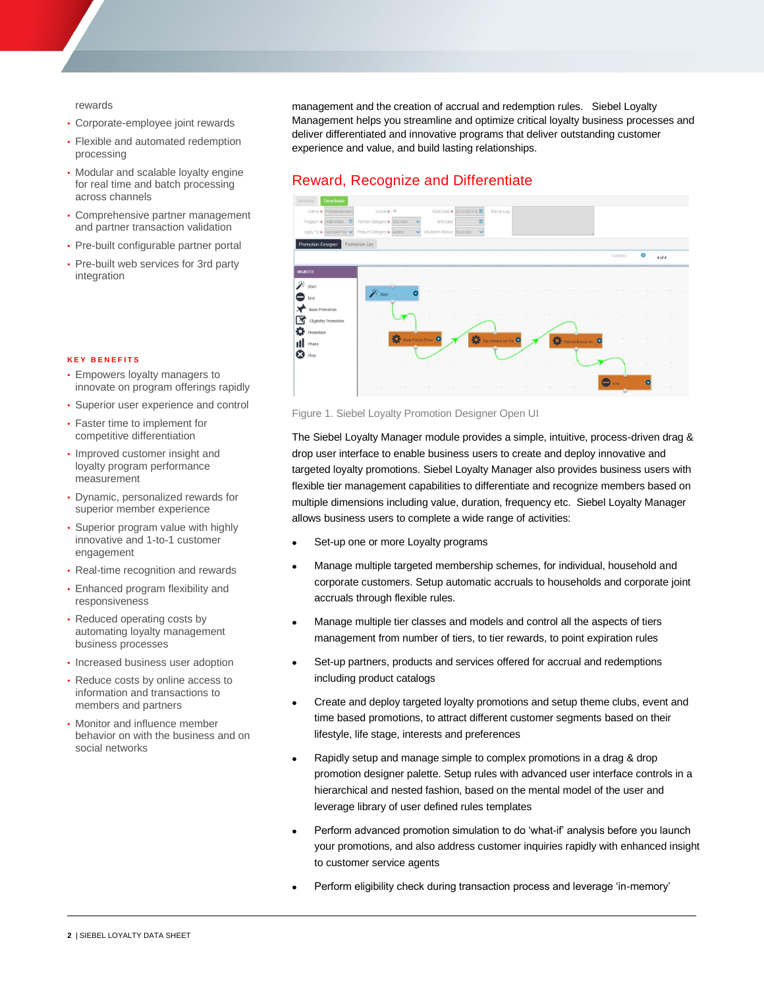rewards

- Corporate-employee joint rewards
- • Flexible and automated redemption processing
- • Modular and scalable loyalty engine for real time and batch processing across channels
- • Comprehensive partner management and partner transaction validation
- Pre-built configurable partner portal
- • Pre-built web services for 3rd party integration

 management and the creation of accrual and redemption rules. Siebel Loyalty Management helps you streamline and optimize critical loyalty business processes and deliver differentiated and innovative programs that deliver outstanding customer experience and value, and build lasting relationships.

#### Reward, Recognize and Differentiate



#### Figure 1. Siebel Loyalty Promotion Designer Open UI

 The Siebel Loyalty Manager module provides a simple, intuitive, process-driven drag & drop user interface to enable business users to create and deploy innovative and targeted loyalty promotions. Siebel Loyalty Manager also provides business users with flexible tier management capabilities to differentiate and recognize members based on multiple dimensions including value, duration, frequency etc. Siebel Loyalty Manager allows business users to complete a wide range of activities:

- Set-up one or more Loyalty programs
- Manage multiple targeted membership schemes, for individual, household and corporate customers. Setup automatic accruals to households and corporate joint accruals through flexible rules.
- Manage multiple tier classes and models and control all the aspects of tiers management from number of tiers, to tier rewards, to point expiration rules
- Set-up partners, products and services offered for accrual and redemptions including product catalogs
- Create and deploy targeted loyalty promotions and setup theme clubs, event and time based promotions, to attract different customer segments based on their lifestyle, life stage, interests and preferences
- Rapidly setup and manage simple to complex promotions in a drag & drop promotion designer palette. Setup rules with advanced user interface controls in a hierarchical and nested fashion, based on the mental model of the user and leverage library of user defined rules templates
- Perform advanced promotion simulation to do 'what-if' analysis before you launch your promotions, and also address customer inquiries rapidly with enhanced insight to customer service agents
- Perform eligibility check during transaction process and leverage 'in-memory'

#### **K E Y B E N E F I T S**

- • Empowers loyalty managers to innovate on program offerings rapidly
- Superior user experience and control
- • Faster time to implement for competitive differentiation
- • Improved customer insight and loyalty program performance measurement
- • Dynamic, personalized rewards for superior member experience
- • Superior program value with highly innovative and 1-to-1 customer engagement
- Real-time recognition and rewards
- • Enhanced program flexibility and responsiveness
- • Reduced operating costs by automating loyalty management business processes
- Increased business user adoption
- • Reduce costs by online access to information and transactions to members and partners
- • Monitor and influence member behavior on with the business and on social networks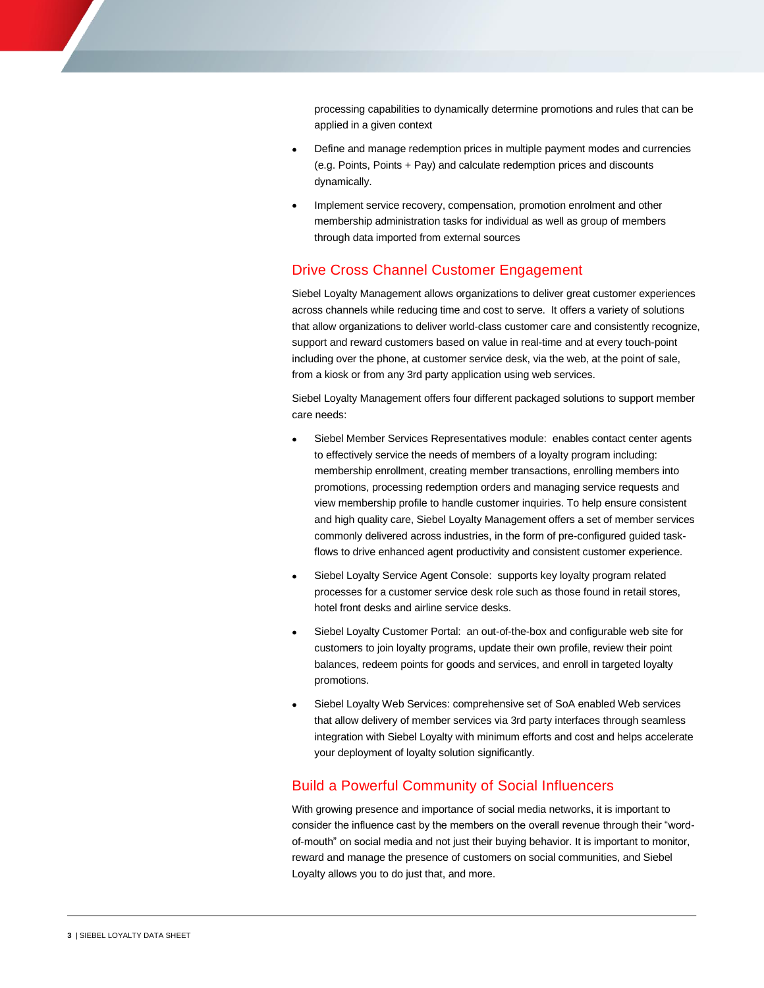processing capabilities to dynamically determine promotions and rules that can be applied in a given context

- Define and manage redemption prices in multiple payment modes and currencies (e.g. Points, Points + Pay) and calculate redemption prices and discounts dynamically.
- Implement service recovery, compensation, promotion enrolment and other membership administration tasks for individual as well as group of members through data imported from external sources

## Drive Cross Channel Customer Engagement

 Siebel Loyalty Management allows organizations to deliver great customer experiences across channels while reducing time and cost to serve. It offers a variety of solutions that allow organizations to deliver world-class customer care and consistently recognize, support and reward customers based on value in real-time and at every touch-point including over the phone, at customer service desk, via the web, at the point of sale, from a kiosk or from any 3rd party application using web services.

 Siebel Loyalty Management offers four different packaged solutions to support member care needs:

- Siebel Member Services Representatives module: enables contact center agents to effectively service the needs of members of a loyalty program including: membership enrollment, creating member transactions, enrolling members into promotions, processing redemption orders and managing service requests and view membership profile to handle customer inquiries. To help ensure consistent and high quality care, Siebel Loyalty Management offers a set of member services commonly delivered across industries, in the form of pre-configured guided task- flows to drive enhanced agent productivity and consistent customer experience. cossing capabilities to dynamically determine promotions and rules that can be<br>ted in a given contest<br>ted in a given contest<br>person and analoge redemption prices in multiple payment modes and currencies<br>person manage redem
- Siebel Loyalty Service Agent Console: supports key loyalty program related processes for a customer service desk role such as those found in retail stores, hotel front desks and airline service desks.
- Siebel Loyalty Customer Portal: an out-of-the-box and configurable web site for customers to join loyalty programs, update their own profile, review their point balances, redeem points for goods and services, and enroll in targeted loyalty promotions.
- Siebel Loyalty Web Services: comprehensive set of SoA enabled Web services that allow delivery of member services via 3rd party interfaces through seamless integration with Siebel Loyalty with minimum efforts and cost and helps accelerate your deployment of loyalty solution significantly.

## Build a Powerful Community of Social Influencers

 With growing presence and importance of social media networks, it is important to consider the influence cast by the members on the overall revenue through their "word- of-mouth" on social media and not just their buying behavior. It is important to monitor, reward and manage the presence of customers on social communities, and Siebel Loyalty allows you to do just that, and more.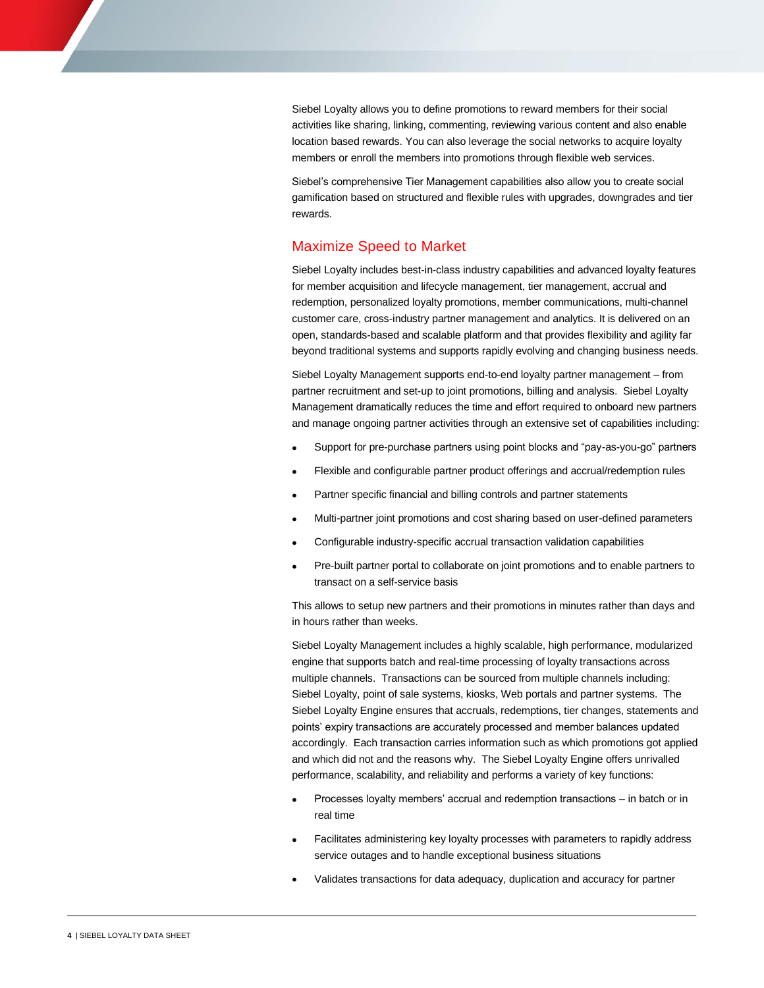Siebel Loyalty allows you to define promotions to reward members for their social activities like sharing, linking, commenting, reviewing various content and also enable location based rewards. You can also leverage the social networks to acquire loyalty members or enroll the members into promotions through flexible web services.

 Siebel's comprehensive Tier Management capabilities also allow you to create social gamification based on structured and flexible rules with upgrades, downgrades and tier rewards.

## Maximize Speed to Market

 Siebel Loyalty includes best-in-class industry capabilities and advanced loyalty features for member acquisition and lifecycle management, tier management, accrual and redemption, personalized loyalty promotions, member communications, multi-channel customer care, cross-industry partner management and analytics. It is delivered on an open, standards-based and scalable platform and that provides flexibility and agility far beyond traditional systems and supports rapidly evolving and changing business needs. Tier M<br>tructure<br>**to M**<br>best-in-<br>and life<br>d loyal<br>dustry |<br>and sc.<br>set-up<br>set-up<br>lly redu<br>artner a<br>chase

 Siebel Loyalty Management supports end-to-end loyalty partner management – from partner recruitment and set-up to joint promotions, billing and analysis. Siebel Loyalty Management dramatically reduces the time and effort required to onboard new partners and manage ongoing partner activities through an extensive set of capabilities including:

- Support for pre-purchase partners using point blocks and "pay-as-you-go" partners
- Flexible and configurable partner product offerings and accrual/redemption rules
- Partner specific financial and billing controls and partner statements
- Multi-partner joint promotions and cost sharing based on user-defined parameters
- Configurable industry-specific accrual transaction validation capabilities
- Pre-built partner portal to collaborate on joint promotions and to enable partners to transact on a self-service basis

 This allows to setup new partners and their promotions in minutes rather than days and in hours rather than weeks.

 Siebel Loyalty Management includes a highly scalable, high performance, modularized engine that supports batch and real-time processing of loyalty transactions across multiple channels. Transactions can be sourced from multiple channels including: Siebel Loyalty, point of sale systems, kiosks, Web portals and partner systems. The Siebel Loyalty Engine ensures that accruals, redemptions, tier changes, statements and points' expiry transactions are accurately processed and member balances updated accordingly. Each transaction carries information such as which promotions got applied and which did not and the reasons why. The Siebel Loyalty Engine offers unrivalled performance, scalability, and reliability and performs a variety of key functions: Loyalty allows you to define promotions to reward members for their social<br>se like sharing, linking, commenting, reviewing various content and also enables<br>the based rewards, You can also leverage the social networks to ac

- Processes loyalty members' accrual and redemption transactions in batch or in real time
- Facilitates administering key loyalty processes with parameters to rapidly address service outages and to handle exceptional business situations
- Validates transactions for data adequacy, duplication and accuracy for partner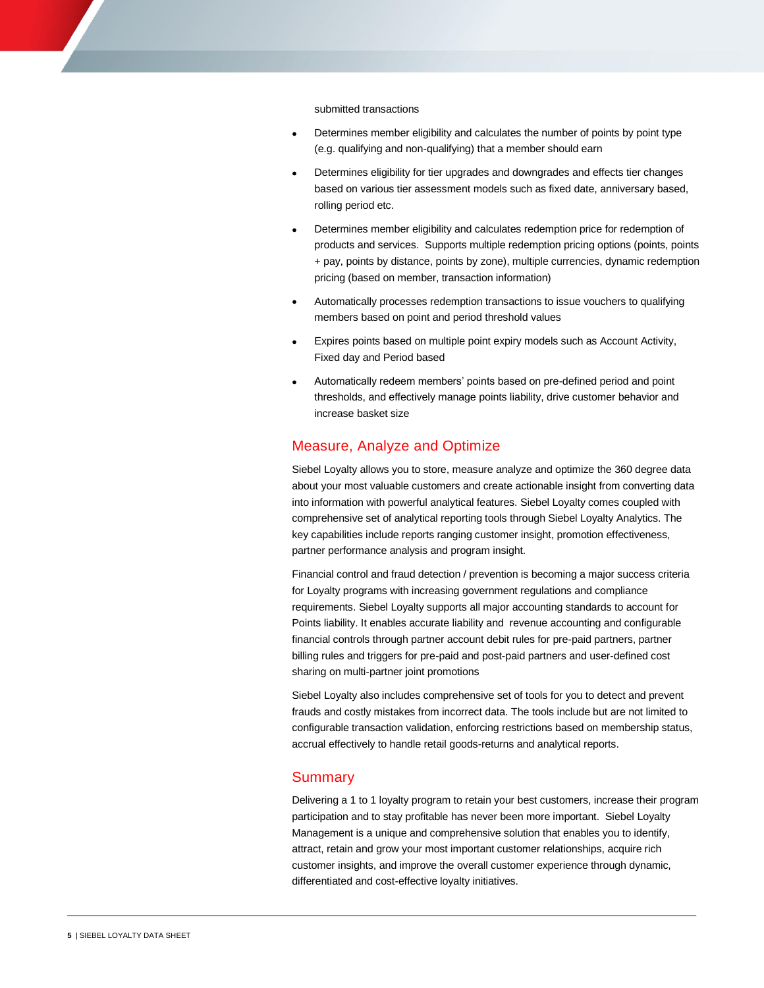submitted transactions

- Determines member eligibility and calculates the number of points by point type (e.g. qualifying and non-qualifying) that a member should earn
- Determines eligibility for tier upgrades and downgrades and effects tier changes based on various tier assessment models such as fixed date, anniversary based, rolling period etc.
- Determines member eligibility and calculates redemption price for redemption of products and services. Supports multiple redemption pricing options (points, points + pay, points by distance, points by zone), multiple currencies, dynamic redemption pricing (based on member, transaction information) nsactions<br>
nember eligibility and calculates the number of points by point type<br>
g and non-qualifying) that a member should earn<br>
ligibility for tier upgrades and downgrades and effects tier changes<br>
ous tier assessment mo
- Automatically processes redemption transactions to issue vouchers to qualifying members based on point and period threshold values
- Expires points based on multiple point expiry models such as Account Activity, Fixed day and Period based
- Automatically redeem members' points based on pre-defined period and point thresholds, and effectively manage points liability, drive customer behavior and increase basket size

#### Measure, Analyze and Optimize

 Siebel Loyalty allows you to store, measure analyze and optimize the 360 degree data about your most valuable customers and create actionable insight from converting data into information with powerful analytical features. Siebel Loyalty comes coupled with comprehensive set of analytical reporting tools through Siebel Loyalty Analytics. The key capabilities include reports ranging customer insight, promotion effectiveness, partner performance analysis and program insight.

 Financial control and fraud detection / prevention is becoming a major success criteria for Loyalty programs with increasing government regulations and compliance requirements. Siebel Loyalty supports all major accounting standards to account for Points liability. It enables accurate liability and revenue accounting and configurable financial controls through partner account debit rules for pre-paid partners, partner billing rules and triggers for pre-paid and post-paid partners and user-defined cost sharing on multi-partner joint promotions

 Siebel Loyalty also includes comprehensive set of tools for you to detect and prevent frauds and costly mistakes from incorrect data. The tools include but are not limited to configurable transaction validation, enforcing restrictions based on membership status, accrual effectively to handle retail goods-returns and analytical reports.

#### Summary

 Delivering a 1 to 1 loyalty program to retain your best customers, increase their program participation and to stay profitable has never been more important. Siebel Loyalty Management is a unique and comprehensive solution that enables you to identify, attract, retain and grow your most important customer relationships, acquire rich customer insights, and improve the overall customer experience through dynamic, differentiated and cost-effective loyalty initiatives.